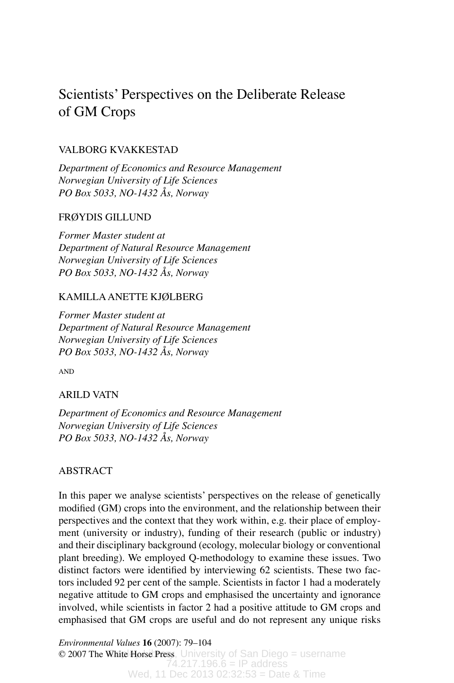# Scientists' Perspectives on the Deliberate Release of GM Crops

# VALBORG KVAKKESTAD

*Department of Economics and Resource Management Norwegian University of Life Sciences PO Box 5033, NO-1432 Ås, Norway*

# FRØYDIS GILLUND

*Former Master student at Department of Natural Resource Management Norwegian University of Life Sciences PO Box 5033, NO-1432 Ås, Norway*

# KAMILLA ANETTE KJØLBERG

*Former Master student at Department of Natural Resource Management Norwegian University of Life Sciences PO Box 5033, NO-1432 Ås, Norway*

AND

# ARILD VATN

*Department of Economics and Resource Management Norwegian University of Life Sciences PO Box 5033, NO-1432 Ås, Norway*

# ABSTRACT

In this paper we analyse scientists' perspectives on the release of genetically modified (GM) crops into the environment, and the relationship between their perspectives and the context that they work within, e.g. their place of employment (university or industry), funding of their research (public or industry) and their disciplinary background (ecology, molecular biology or conventional plant breeding). We employed Q-methodology to examine these issues. Two distinct factors were identified by interviewing 62 scientists. These two factors included 92 per cent of the sample. Scientists in factor 1 had a moderately negative attitude to GM crops and emphasised the uncertainty and ignorance involved, while scientists in factor 2 had a positive attitude to GM crops and emphasised that GM crops are useful and do not represent any unique risks

 $\odot$  2007 The White Horse Press, University of San Diego = username  $74.217.196.6 = IP$  address Wed, 11 Dec 2013 02:32:53 = Date & Time *Environmental Values* **16** (2007): 79–104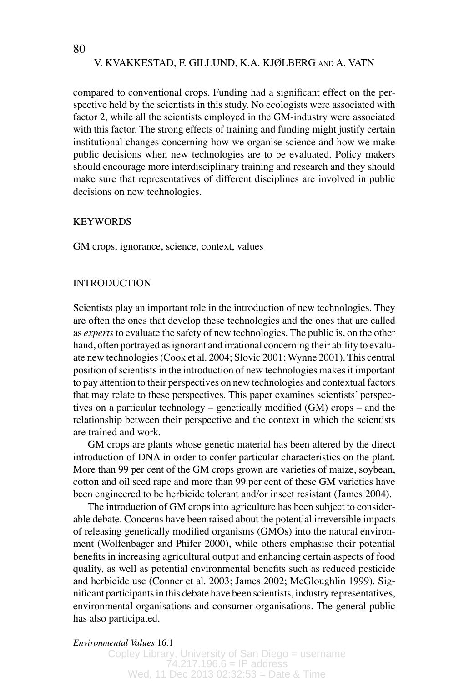compared to conventional crops. Funding had a significant effect on the perspective held by the scientists in this study. No ecologists were associated with factor 2, while all the scientists employed in the GM-industry were associated with this factor. The strong effects of training and funding might justify certain institutional changes concerning how we organise science and how we make public decisions when new technologies are to be evaluated. Policy makers should encourage more interdisciplinary training and research and they should make sure that representatives of different disciplines are involved in public decisions on new technologies.

# **KEYWORDS**

GM crops, ignorance, science, context, values

# INTRODUCTION

Scientists play an important role in the introduction of new technologies. They are often the ones that develop these technologies and the ones that are called as *experts* to evaluate the safety of new technologies. The public is, on the other hand, often portrayed as ignorant and irrational concerning their ability to evaluate new technologies (Cook et al. 2004; Slovic 2001; Wynne 2001). This central position of scientists in the introduction of new technologies makes it important to pay attention to their perspectives on new technologies and contextual factors that may relate to these perspectives. This paper examines scientists' perspectives on a particular technology – genetically modified (GM) crops – and the relationship between their perspective and the context in which the scientists are trained and work.

GM crops are plants whose genetic material has been altered by the direct introduction of DNA in order to confer particular characteristics on the plant. More than 99 per cent of the GM crops grown are varieties of maize, soybean, cotton and oil seed rape and more than 99 per cent of these GM varieties have been engineered to be herbicide tolerant and/or insect resistant (James 2004**)**.

The introduction of GM crops into agriculture has been subject to considerable debate. Concerns have been raised about the potential irreversible impacts of releasing genetically modified organisms (GMOs) into the natural environment (Wolfenbager and Phifer 2000), while others emphasise their potential benefits in increasing agricultural output and enhancing certain aspects of food quality, as well as potential environmental benefits such as reduced pesticide and herbicide use (Conner et al. 2003; James 2002; McGloughlin 1999). Significant participants in this debate have been scientists, industry representatives, environmental organisations and consumer organisations. The general public has also participated.

### *Environmental Values* 16.1 *Environmental Values* 16.1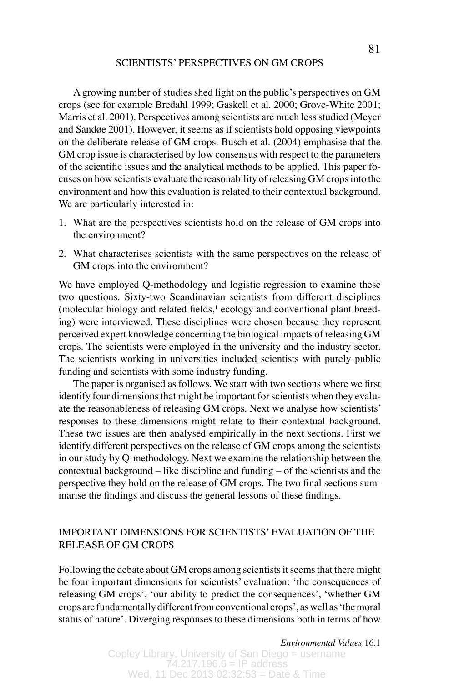A growing number of studies shed light on the public's perspectives on GM crops (see for example Bredahl 1999; Gaskell et al. 2000; Grove-White 2001; Marris et al. 2001). Perspectives among scientists are much less studied (Meyer and Sandøe 2001). However, it seems as if scientists hold opposing viewpoints on the deliberate release of GM crops. Busch et al. (2004) emphasise that the GM crop issue is characterised by low consensus with respect to the parameters of the scientific issues and the analytical methods to be applied. This paper focuses on how scientists evaluate the reasonability of releasing GM crops into the environment and how this evaluation is related to their contextual background. We are particularly interested in:

- 1. What are the perspectives scientists hold on the release of GM crops into the environment?
- 2. What characterises scientists with the same perspectives on the release of GM crops into the environment?

We have employed O-methodology and logistic regression to examine these two questions. Sixty-two Scandinavian scientists from different disciplines (molecular biology and related fields,<sup>1</sup> ecology and conventional plant breeding) were interviewed. These disciplines were chosen because they represent perceived expert knowledge concerning the biological impacts of releasing GM crops. The scientists were employed in the university and the industry sector. The scientists working in universities included scientists with purely public funding and scientists with some industry funding.

The paper is organised as follows. We start with two sections where we first identify four dimensions that might be important for scientists when they evaluate the reasonableness of releasing GM crops. Next we analyse how scientists' responses to these dimensions might relate to their contextual background. These two issues are then analysed empirically in the next sections. First we identify different perspectives on the release of GM crops among the scientists in our study by Q-methodology. Next we examine the relationship between the contextual background – like discipline and funding – of the scientists and the perspective they hold on the release of GM crops. The two final sections summarise the findings and discuss the general lessons of these findings.

# IMPORTANT DIMENSIONS FOR SCIENTISTS' EVALUATION OF THE RELEASE OF GM CROPS

Following the debate about GM crops among scientists it seems that there might be four important dimensions for scientists' evaluation: ʻthe consequences of releasing GM crops', ʻour ability to predict the consequences', ʻwhether GM crops are fundamentally different from conventional crops', as well as ʻthe moral status of nature'. Diverging responses to these dimensions both in terms of how

*Environmental Values* 16.1 *Environmental Values* 16.1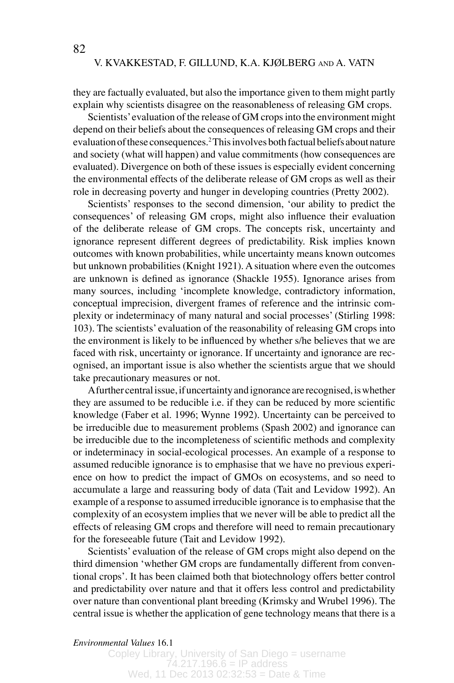they are factually evaluated, but also the importance given to them might partly explain why scientists disagree on the reasonableness of releasing GM crops.

Scientists' evaluation of the release of GM crops into the environment might depend on their beliefs about the consequences of releasing GM crops and their evaluation of these consequences.2 This involves both factual beliefs about nature and society (what will happen) and value commitments (how consequences are evaluated). Divergence on both of these issues is especially evident concerning the environmental effects of the deliberate release of GM crops as well as their role in decreasing poverty and hunger in developing countries (Pretty 2002).

Scientists' responses to the second dimension, ʻour ability to predict the consequences' of releasing GM crops, might also influence their evaluation of the deliberate release of GM crops. The concepts risk, uncertainty and ignorance represent different degrees of predictability. Risk implies known outcomes with known probabilities, while uncertainty means known outcomes but unknown probabilities (Knight 1921). A situation where even the outcomes are unknown is defined as ignorance (Shackle 1955). Ignorance arises from many sources, including ʻincomplete knowledge, contradictory information, conceptual imprecision, divergent frames of reference and the intrinsic complexity or indeterminacy of many natural and social processes' (Stirling 1998: 103). The scientists' evaluation of the reasonability of releasing GM crops into the environment is likely to be influenced by whether s/he believes that we are faced with risk, uncertainty or ignorance. If uncertainty and ignorance are recognised, an important issue is also whether the scientists argue that we should take precautionary measures or not.

A further central issue, if uncertainty and ignorance are recognised, is whether they are assumed to be reducible i.e. if they can be reduced by more scientific knowledge (Faber et al. 1996; Wynne 1992). Uncertainty can be perceived to be irreducible due to measurement problems (Spash 2002) and ignorance can be irreducible due to the incompleteness of scientific methods and complexity or indeterminacy in social-ecological processes. An example of a response to assumed reducible ignorance is to emphasise that we have no previous experience on how to predict the impact of GMOs on ecosystems, and so need to accumulate a large and reassuring body of data (Tait and Levidow 1992). An example of a response to assumed irreducible ignorance is to emphasise that the complexity of an ecosystem implies that we never will be able to predict all the effects of releasing GM crops and therefore will need to remain precautionary for the foreseeable future (Tait and Levidow 1992).

Scientists' evaluation of the release of GM crops might also depend on the third dimension ʻwhether GM crops are fundamentally different from conventional crops'. It has been claimed both that biotechnology offers better control and predictability over nature and that it offers less control and predictability over nature than conventional plant breeding (Krimsky and Wrubel 1996). The central issue is whether the application of gene technology means that there is a

*Environmental Values* 16.1 *Environmental Values* 16.1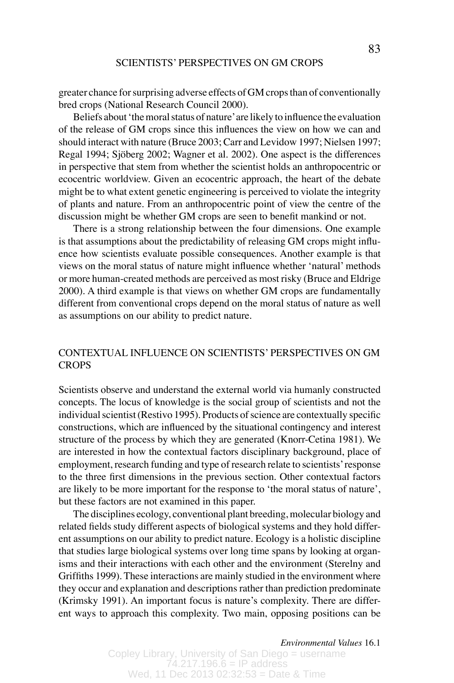greater chance for surprising adverse effects of GM crops than of conventionally bred crops (National Research Council 2000).

Beliefs about ʻthe moral status of nature' are likely to influence the evaluation of the release of GM crops since this influences the view on how we can and should interact with nature (Bruce 2003; Carr and Levidow 1997; Nielsen 1997; Regal 1994; Sjöberg 2002; Wagner et al. 2002). One aspect is the differences in perspective that stem from whether the scientist holds an anthropocentric or ecocentric worldview. Given an ecocentric approach, the heart of the debate might be to what extent genetic engineering is perceived to violate the integrity of plants and nature. From an anthropocentric point of view the centre of the discussion might be whether GM crops are seen to benefit mankind or not.

There is a strong relationship between the four dimensions. One example is that assumptions about the predictability of releasing GM crops might influence how scientists evaluate possible consequences. Another example is that views on the moral status of nature might influence whether ʻnatural' methods or more human-created methods are perceived as most risky (Bruce and Eldrige 2000). A third example is that views on whether GM crops are fundamentally different from conventional crops depend on the moral status of nature as well as assumptions on our ability to predict nature.

# CONTEXTUAL INFLUENCE ON SCIENTISTS' PERSPECTIVES ON GM **CROPS**

Scientists observe and understand the external world via humanly constructed concepts. The locus of knowledge is the social group of scientists and not the individual scientist (Restivo 1995). Products of science are contextually specific constructions, which are influenced by the situational contingency and interest structure of the process by which they are generated (Knorr-Cetina 1981). We are interested in how the contextual factors disciplinary background, place of employment, research funding and type of research relate to scientists' response to the three first dimensions in the previous section. Other contextual factors are likely to be more important for the response to ʻthe moral status of nature', but these factors are not examined in this paper.

The disciplines ecology, conventional plant breeding, molecular biology and related fields study different aspects of biological systems and they hold different assumptions on our ability to predict nature. Ecology is a holistic discipline that studies large biological systems over long time spans by looking at organisms and their interactions with each other and the environment (Sterelny and Griffiths 1999). These interactions are mainly studied in the environment where they occur and explanation and descriptions rather than prediction predominate (Krimsky 1991). An important focus is nature's complexity. There are different ways to approach this complexity. Two main, opposing positions can be

*Environmental Values* 16.1 *Environmental Values* 16.1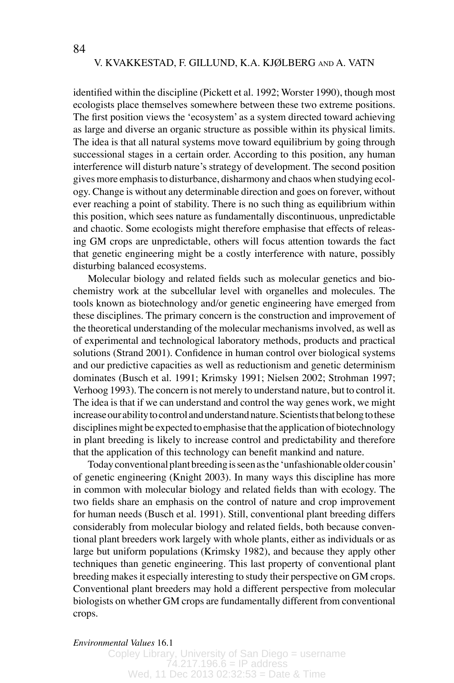identified within the discipline (Pickett et al. 1992; Worster 1990), though most ecologists place themselves somewhere between these two extreme positions. The first position views the ʻecosystem' as a system directed toward achieving as large and diverse an organic structure as possible within its physical limits. The idea is that all natural systems move toward equilibrium by going through successional stages in a certain order. According to this position, any human interference will disturb nature's strategy of development. The second position gives more emphasis to disturbance, disharmony and chaos when studying ecology. Change is without any determinable direction and goes on forever, without ever reaching a point of stability. There is no such thing as equilibrium within this position, which sees nature as fundamentally discontinuous, unpredictable and chaotic. Some ecologists might therefore emphasise that effects of releasing GM crops are unpredictable, others will focus attention towards the fact that genetic engineering might be a costly interference with nature, possibly disturbing balanced ecosystems.

Molecular biology and related fields such as molecular genetics and biochemistry work at the subcellular level with organelles and molecules. The tools known as biotechnology and/or genetic engineering have emerged from these disciplines. The primary concern is the construction and improvement of the theoretical understanding of the molecular mechanisms involved, as well as of experimental and technological laboratory methods, products and practical solutions (Strand 2001). Confidence in human control over biological systems and our predictive capacities as well as reductionism and genetic determinism dominates (Busch et al. 1991; Krimsky 1991; Nielsen 2002; Strohman 1997; Verhoog 1993). The concern is not merely to understand nature, but to control it. The idea is that if we can understand and control the way genes work, we might increase our ability to control and understand nature. Scientists that belong to these disciplines might be expected to emphasise that the application of biotechnology in plant breeding is likely to increase control and predictability and therefore that the application of this technology can benefit mankind and nature.

Today conventional plant breeding is seen as the ʻunfashionable older cousin' of genetic engineering (Knight 2003). In many ways this discipline has more in common with molecular biology and related fields than with ecology. The two fields share an emphasis on the control of nature and crop improvement for human needs (Busch et al. 1991). Still, conventional plant breeding differs considerably from molecular biology and related fields, both because conventional plant breeders work largely with whole plants, either as individuals or as large but uniform populations (Krimsky 1982), and because they apply other techniques than genetic engineering. This last property of conventional plant breeding makes it especially interesting to study their perspective on GM crops. Conventional plant breeders may hold a different perspective from molecular biologists on whether GM crops are fundamentally different from conventional crops.

### *Environmental Values* 16.1 *Environmental Values* 16.1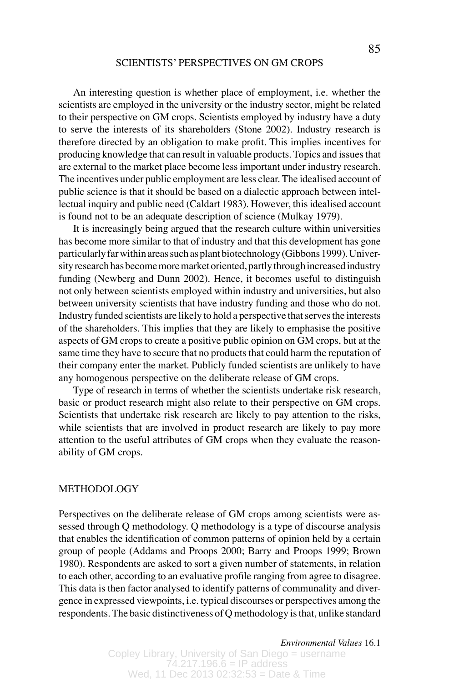An interesting question is whether place of employment, i.e. whether the scientists are employed in the university or the industry sector, might be related to their perspective on GM crops. Scientists employed by industry have a duty to serve the interests of its shareholders (Stone 2002). Industry research is therefore directed by an obligation to make profit. This implies incentives for producing knowledge that can result in valuable products. Topics and issues that are external to the market place become less important under industry research. The incentives under public employment are less clear. The idealised account of public science is that it should be based on a dialectic approach between intellectual inquiry and public need (Caldart 1983). However, this idealised account is found not to be an adequate description of science (Mulkay 1979).

It is increasingly being argued that the research culture within universities has become more similar to that of industry and that this development has gone particularly far within areas such as plant biotechnology (Gibbons 1999). University research has become more market oriented, partly through increased industry funding (Newberg and Dunn 2002). Hence, it becomes useful to distinguish not only between scientists employed within industry and universities, but also between university scientists that have industry funding and those who do not. Industry funded scientists are likely to hold a perspective that serves the interests of the shareholders. This implies that they are likely to emphasise the positive aspects of GM crops to create a positive public opinion on GM crops, but at the same time they have to secure that no products that could harm the reputation of their company enter the market. Publicly funded scientists are unlikely to have any homogenous perspective on the deliberate release of GM crops.

Type of research in terms of whether the scientists undertake risk research, basic or product research might also relate to their perspective on GM crops. Scientists that undertake risk research are likely to pay attention to the risks, while scientists that are involved in product research are likely to pay more attention to the useful attributes of GM crops when they evaluate the reasonability of GM crops.

### METHODOLOGY

Perspectives on the deliberate release of GM crops among scientists were assessed through Q methodology. Q methodology is a type of discourse analysis that enables the identification of common patterns of opinion held by a certain group of people (Addams and Proops 2000; Barry and Proops 1999; Brown 1980). Respondents are asked to sort a given number of statements, in relation to each other, according to an evaluative profile ranging from agree to disagree. This data is then factor analysed to identify patterns of communality and divergence in expressed viewpoints, i.e. typical discourses or perspectives among the respondents. The basic distinctiveness of Q methodology is that, unlike standard

*Environmental Values* 16.1 *Environmental Values* 16.1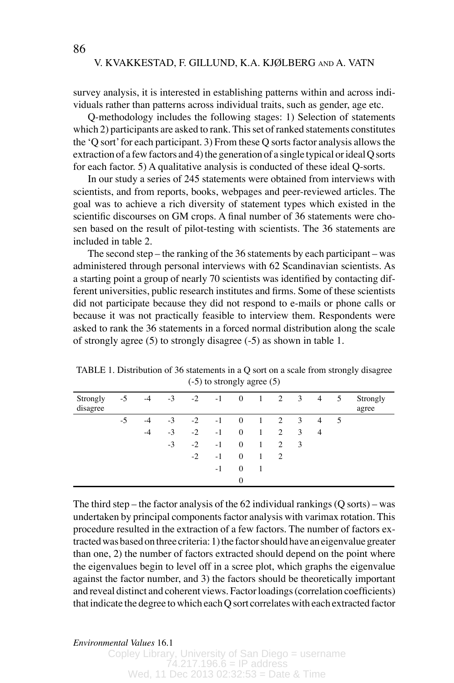survey analysis, it is interested in establishing patterns within and across individuals rather than patterns across individual traits, such as gender, age etc.

Q-methodology includes the following stages: 1) Selection of statements which 2) participants are asked to rank. This set of ranked statements constitutes the ʻQ sort' for each participant. 3) From these Q sorts factor analysis allows the extraction of a few factors and 4) the generation of a single typical or ideal Q sorts for each factor. 5) A qualitative analysis is conducted of these ideal Q-sorts.

In our study a series of 245 statements were obtained from interviews with scientists, and from reports, books, webpages and peer-reviewed articles. The goal was to achieve a rich diversity of statement types which existed in the scientific discourses on GM crops. A final number of 36 statements were chosen based on the result of pilot-testing with scientists. The 36 statements are included in table 2.

The second step – the ranking of the 36 statements by each participant – was administered through personal interviews with 62 Scandinavian scientists. As a starting point a group of nearly 70 scientists was identified by contacting different universities, public research institutes and firms. Some of these scientists did not participate because they did not respond to e-mails or phone calls or because it was not practically feasible to interview them. Respondents were asked to rank the 36 statements in a forced normal distribution along the scale of strongly agree (5) to strongly disagree (-5) as shown in table 1.

TABLE 1. Distribution of 36 statements in a Q sort on a scale from strongly disagree (-5) to strongly agree (5)

| Strongly<br>disagree | $-5$ | $-4$ | $-3$ |      | $-2$ $-1$ | $\bf{0}$       | $\overline{1}$ | 2 3            |                         | 4              | 5 | Strongly<br>agree |
|----------------------|------|------|------|------|-----------|----------------|----------------|----------------|-------------------------|----------------|---|-------------------|
|                      | $-5$ | $-4$ | $-3$ | $-2$ | $-1$      | $\overline{0}$ | $\overline{1}$ | 2 3            |                         | $\overline{4}$ | 5 |                   |
|                      |      | $-4$ | $-3$ | $-2$ | $-1$      | $\mathbf{0}$   | 1              | $\overline{2}$ | 3                       | $\overline{4}$ |   |                   |
|                      |      |      | $-3$ | $-2$ | $-1$      | $\mathbf{0}$   | 1              | $\overline{c}$ | $\overline{\mathbf{3}}$ |                |   |                   |
|                      |      |      |      | $-2$ | $-1$      | $\mathbf{0}$   | 1              | $\overline{c}$ |                         |                |   |                   |
|                      |      |      |      |      | $-1$      | $\mathbf{0}$   | 1              |                |                         |                |   |                   |
|                      |      |      |      |      |           | $\mathbf{0}$   |                |                |                         |                |   |                   |

The third step – the factor analysis of the  $62$  individual rankings  $(Q \text{ sorts})$  – was undertaken by principal components factor analysis with varimax rotation. This procedure resulted in the extraction of a few factors. The number of factors extracted was based on three criteria: 1) the factor should have an eigenvalue greater than one, 2) the number of factors extracted should depend on the point where the eigenvalues begin to level off in a scree plot, which graphs the eigenvalue against the factor number, and 3) the factors should be theoretically important and reveal distinct and coherent views. Factor loadings (correlation coefficients) that indicate the degree to which each Q sort correlates with each extracted factor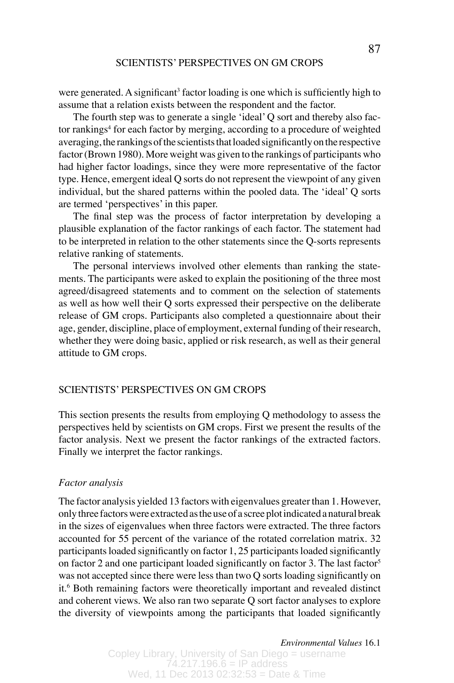were generated. A significant<sup>3</sup> factor loading is one which is sufficiently high to assume that a relation exists between the respondent and the factor.

The fourth step was to generate a single ʻideal' Q sort and thereby also factor rankings<sup>4</sup> for each factor by merging, according to a procedure of weighted averaging, the rankings of the scientists that loaded significantly on the respective factor (Brown 1980). More weight was given to the rankings of participants who had higher factor loadings, since they were more representative of the factor type. Hence, emergent ideal Q sorts do not represent the viewpoint of any given individual, but the shared patterns within the pooled data. The ʻideal' Q sorts are termed ʻperspectives' in this paper.

The final step was the process of factor interpretation by developing a plausible explanation of the factor rankings of each factor. The statement had to be interpreted in relation to the other statements since the Q-sorts represents relative ranking of statements.

The personal interviews involved other elements than ranking the statements. The participants were asked to explain the positioning of the three most agreed/disagreed statements and to comment on the selection of statements as well as how well their Q sorts expressed their perspective on the deliberate release of GM crops. Participants also completed a questionnaire about their age, gender, discipline, place of employment, external funding of their research, whether they were doing basic, applied or risk research, as well as their general attitude to GM crops.

# SCIENTISTS' PERSPECTIVES ON GM CROPS

This section presents the results from employing Q methodology to assess the perspectives held by scientists on GM crops. First we present the results of the factor analysis. Next we present the factor rankings of the extracted factors. Finally we interpret the factor rankings.

### *Factor analysis*

The factor analysis yielded 13 factors with eigenvalues greater than 1. However, only three factors were extracted as the use of a scree plot indicated a natural break in the sizes of eigenvalues when three factors were extracted. The three factors accounted for 55 percent of the variance of the rotated correlation matrix. 32 participants loaded significantly on factor 1, 25 participants loaded significantly on factor 2 and one participant loaded significantly on factor 3. The last factor<sup>5</sup> was not accepted since there were less than two Q sorts loading significantly on it.6 Both remaining factors were theoretically important and revealed distinct and coherent views. We also ran two separate Q sort factor analyses to explore the diversity of viewpoints among the participants that loaded significantly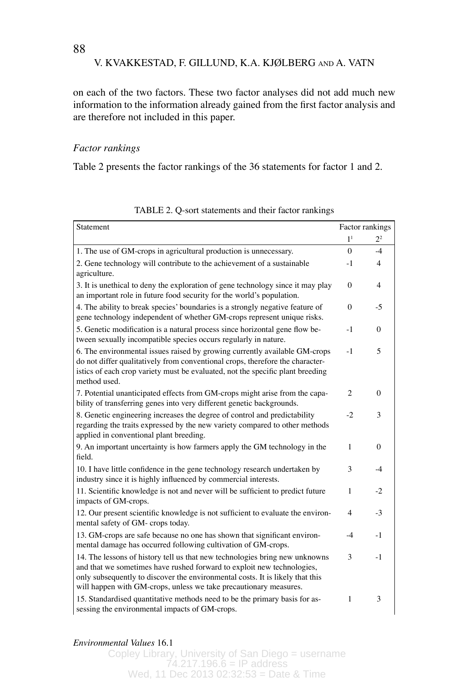on each of the two factors. These two factor analyses did not add much new information to the information already gained from the first factor analysis and are therefore not included in this paper.

# *Factor rankings*

Table 2 presents the factor rankings of the 36 statements for factor 1 and 2.

| Statement                                                                                                                                                                                                                                                                                                   |                | Factor rankings |
|-------------------------------------------------------------------------------------------------------------------------------------------------------------------------------------------------------------------------------------------------------------------------------------------------------------|----------------|-----------------|
|                                                                                                                                                                                                                                                                                                             | 1 <sup>1</sup> | 2 <sup>2</sup>  |
| 1. The use of GM-crops in agricultural production is unnecessary.                                                                                                                                                                                                                                           | 0              | $-4$            |
| 2. Gene technology will contribute to the achievement of a sustainable<br>agriculture.                                                                                                                                                                                                                      | $-1$           | 4               |
| 3. It is unethical to deny the exploration of gene technology since it may play<br>an important role in future food security for the world's population.                                                                                                                                                    | 0              | 4               |
| 4. The ability to break species' boundaries is a strongly negative feature of<br>gene technology independent of whether GM-crops represent unique risks.                                                                                                                                                    | $\theta$       | -5              |
| 5. Genetic modification is a natural process since horizontal gene flow be-<br>tween sexually incompatible species occurs regularly in nature.                                                                                                                                                              | $-1$           | 0               |
| 6. The environmental issues raised by growing currently available GM-crops<br>do not differ qualitatively from conventional crops, therefore the character-<br>istics of each crop variety must be evaluated, not the specific plant breeding<br>method used.                                               | $-1$           | 5               |
| 7. Potential unanticipated effects from GM-crops might arise from the capa-<br>bility of transferring genes into very different genetic backgrounds.                                                                                                                                                        | $\overline{2}$ | 0               |
| 8. Genetic engineering increases the degree of control and predictability<br>regarding the traits expressed by the new variety compared to other methods<br>applied in conventional plant breeding.                                                                                                         | $-2$           | 3               |
| 9. An important uncertainty is how farmers apply the GM technology in the<br>field.                                                                                                                                                                                                                         | 1              | 0               |
| 10. I have little confidence in the gene technology research undertaken by<br>industry since it is highly influenced by commercial interests.                                                                                                                                                               | 3              | $-4$            |
| 11. Scientific knowledge is not and never will be sufficient to predict future<br>impacts of GM-crops.                                                                                                                                                                                                      | 1              | -2              |
| 12. Our present scientific knowledge is not sufficient to evaluate the environ-<br>mental safety of GM- crops today.                                                                                                                                                                                        | 4              | $-3$            |
| 13. GM-crops are safe because no one has shown that significant environ-<br>mental damage has occurred following cultivation of GM-crops.                                                                                                                                                                   | $-4$           | $-1$            |
| 14. The lessons of history tell us that new technologies bring new unknowns<br>and that we sometimes have rushed forward to exploit new technologies,<br>only subsequently to discover the environmental costs. It is likely that this<br>will happen with GM-crops, unless we take precautionary measures. | 3              | $-1$            |
| 15. Standardised quantitative methods need to be the primary basis for as-<br>sessing the environmental impacts of GM-crops.                                                                                                                                                                                | $\mathbf{1}$   | 3               |

TABLE 2. Q-sort statements and their factor rankings

*Environmental Values* 16.1 *Environmental Values* 16.1

Copley Library, University of San Diego = username  $74.217.196.6 = IP$  address Wed, 11 Dec 2013 02:32:53 = Date & Time

88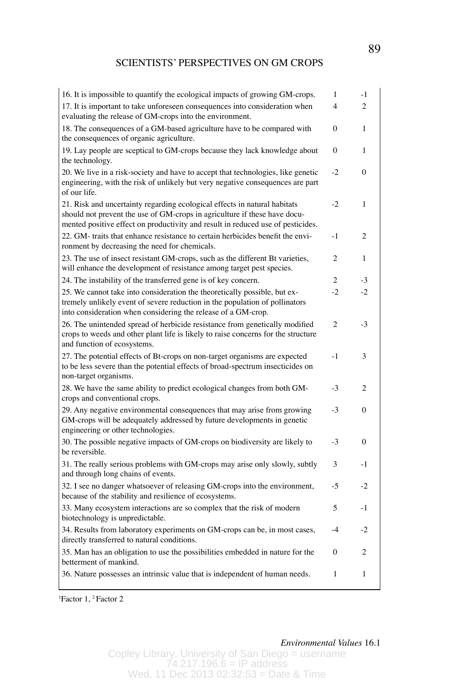| 16. It is impossible to quantify the ecological impacts of growing GM-crops.                                                                                                                                                              | 1              | $-1$           |
|-------------------------------------------------------------------------------------------------------------------------------------------------------------------------------------------------------------------------------------------|----------------|----------------|
| 17. It is important to take unforeseen consequences into consideration when<br>evaluating the release of GM-crops into the environment.                                                                                                   | 4              | 2              |
| 18. The consequences of a GM-based agriculture have to be compared with<br>the consequences of organic agriculture.                                                                                                                       | $\mathbf{0}$   | 1              |
| 19. Lay people are sceptical to GM-crops because they lack knowledge about<br>the technology.                                                                                                                                             | $\mathbf{0}$   | 1              |
| 20. We live in a risk-society and have to accept that technologies, like genetic<br>engineering, with the risk of unlikely but very negative consequences are part<br>of our life.                                                        | $-2$           | $\Omega$       |
| 21. Risk and uncertainty regarding ecological effects in natural habitats<br>should not prevent the use of GM-crops in agriculture if these have docu-<br>mented positive effect on productivity and result in reduced use of pesticides. | $-2$           | 1              |
| 22. GM- traits that enhance resistance to certain herbicides benefit the envi-<br>ronment by decreasing the need for chemicals.                                                                                                           | $-1$           | 2              |
| 23. The use of insect resistant GM-crops, such as the different Bt varieties,<br>will enhance the development of resistance among target pest species.                                                                                    | 2              | 1              |
| 24. The instability of the transferred gene is of key concern.                                                                                                                                                                            | 2              | $-3$           |
| 25. We cannot take into consideration the theoretically possible, but ex-<br>tremely unlikely event of severe reduction in the population of pollinators<br>into consideration when considering the release of a GM-crop.                 | $-2$           | $-2$           |
| 26. The unintended spread of herbicide resistance from genetically modified<br>crops to weeds and other plant life is likely to raise concerns for the structure<br>and function of ecosystems.                                           | $\overline{2}$ | $-3$           |
| 27. The potential effects of Bt-crops on non-target organisms are expected<br>to be less severe than the potential effects of broad-spectrum insecticides on<br>non-target organisms.                                                     | $-1$           | 3              |
| 28. We have the same ability to predict ecological changes from both GM-<br>crops and conventional crops.                                                                                                                                 | $-3$           | $\overline{c}$ |
| 29. Any negative environmental consequences that may arise from growing<br>GM-crops will be adequately addressed by future developments in genetic<br>engineering or other technologies.                                                  | $-3$           | $\theta$       |
| 30. The possible negative impacts of GM-crops on biodiversity are likely to<br>be reversible.                                                                                                                                             | $-3$           | $\theta$       |
| 31. The really serious problems with GM-crops may arise only slowly, subtly<br>and through long chains of events.                                                                                                                         | 3              | $-1$           |
| 32. I see no danger whatsoever of releasing GM-crops into the environment,<br>because of the stability and resilience of ecosystems.                                                                                                      | $-5$           | $-2$           |
| 33. Many ecosystem interactions are so complex that the risk of modern<br>biotechnology is unpredictable.                                                                                                                                 | 5              | $-1$           |
| 34. Results from laboratory experiments on GM-crops can be, in most cases,<br>directly transferred to natural conditions.                                                                                                                 | $-4$           | $-2$           |
| 35. Man has an obligation to use the possibilities embedded in nature for the<br>betterment of mankind.                                                                                                                                   | $\mathbf{0}$   | $\mathfrak{2}$ |
| 36. Nature possesses an intrinsic value that is independent of human needs.                                                                                                                                                               | 1              | 1              |

1 Factor 1, 2 Factor 2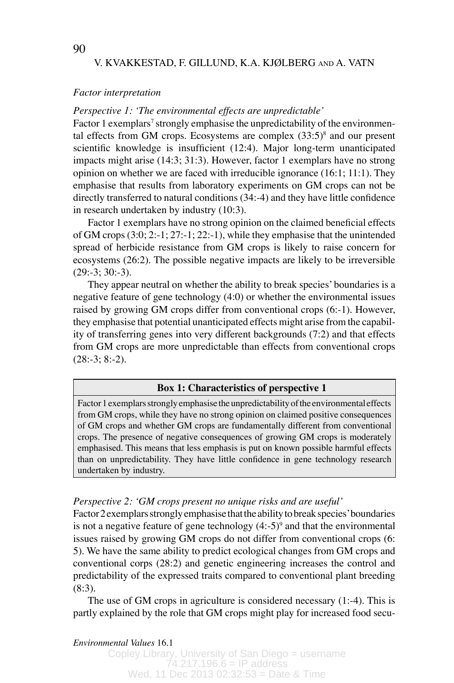### *Factor interpretation*

# *Perspective 1: ʻThe environmental effects are unpredictable'*

Factor 1 exemplars<sup>7</sup> strongly emphasise the unpredictability of the environmental effects from GM crops. Ecosystems are complex  $(33:5)^8$  and our present scientific knowledge is insufficient (12:4). Major long-term unanticipated impacts might arise (14:3; 31:3). However, factor 1 exemplars have no strong opinion on whether we are faced with irreducible ignorance (16:1; 11:1). They emphasise that results from laboratory experiments on GM crops can not be directly transferred to natural conditions (34:-4) and they have little confidence in research undertaken by industry (10:3).

Factor 1 exemplars have no strong opinion on the claimed beneficial effects of GM crops (3:0; 2:-1; 27:-1; 22:-1), while they emphasise that the unintended spread of herbicide resistance from GM crops is likely to raise concern for ecosystems (26:2). The possible negative impacts are likely to be irreversible  $(29:-3; 30:-3)$ .

They appear neutral on whether the ability to break species' boundaries is a negative feature of gene technology (4:0) or whether the environmental issues raised by growing GM crops differ from conventional crops (6:-1). However, they emphasise that potential unanticipated effects might arise from the capability of transferring genes into very different backgrounds (7:2) and that effects from GM crops are more unpredictable than effects from conventional crops  $(28:-3; 8:-2)$ .

#### **Box 1: Characteristics of perspective 1**

Factor 1 exemplars strongly emphasise the unpredictability of the environmental effects from GM crops, while they have no strong opinion on claimed positive consequences of GM crops and whether GM crops are fundamentally different from conventional crops. The presence of negative consequences of growing GM crops is moderately emphasised. This means that less emphasis is put on known possible harmful effects than on unpredictability. They have little confidence in gene technology research undertaken by industry.

### *Perspective 2: ʻGM crops present no unique risks and are useful'*

Factor 2 exemplars strongly emphasise that the ability to break species' boundaries is not a negative feature of gene technology  $(4:5)^9$  and that the environmental issues raised by growing GM crops do not differ from conventional crops (6: 5). We have the same ability to predict ecological changes from GM crops and conventional corps (28:2) and genetic engineering increases the control and predictability of the expressed traits compared to conventional plant breeding (8:3).

The use of GM crops in agriculture is considered necessary (1:-4). This is partly explained by the role that GM crops might play for increased food secu-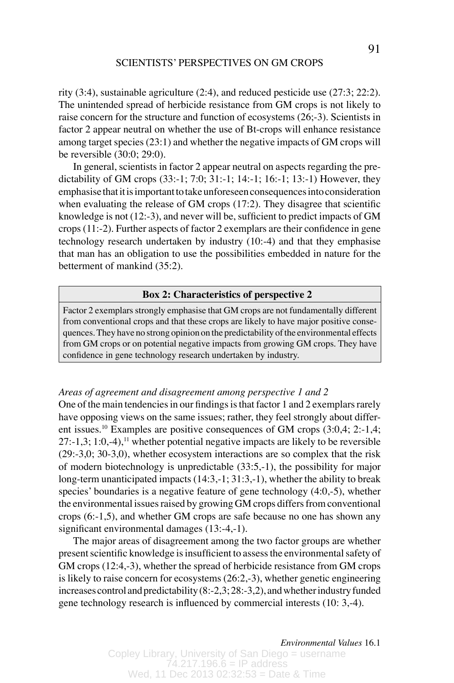rity (3:4), sustainable agriculture (2:4), and reduced pesticide use (27:3; 22:2). The unintended spread of herbicide resistance from GM crops is not likely to raise concern for the structure and function of ecosystems (26;-3). Scientists in factor 2 appear neutral on whether the use of Bt-crops will enhance resistance among target species (23:1) and whether the negative impacts of GM crops will be reversible (30:0; 29:0).

In general, scientists in factor 2 appear neutral on aspects regarding the predictability of GM crops (33:-1; 7:0; 31:-1; 14:-1; 16:-1; 13:-1) However, they emphasise that it is important to take unforeseen consequences into consideration when evaluating the release of GM crops (17:2). They disagree that scientific knowledge is not (12:-3), and never will be, sufficient to predict impacts of GM crops (11:-2). Further aspects of factor 2 exemplars are their confidence in gene technology research undertaken by industry (10:-4) and that they emphasise that man has an obligation to use the possibilities embedded in nature for the betterment of mankind (35:2).

# **Box 2: Characteristics of perspective 2**

Factor 2 exemplars strongly emphasise that GM crops are not fundamentally different from conventional crops and that these crops are likely to have major positive consequences. They have no strong opinion on the predictability of the environmental effects from GM crops or on potential negative impacts from growing GM crops. They have confidence in gene technology research undertaken by industry.

# *Areas of agreement and disagreement among perspective 1 and 2*

One of the main tendencies in our findings is that factor 1 and 2 exemplars rarely have opposing views on the same issues; rather, they feel strongly about different issues.10 Examples are positive consequences of GM crops (3:0,4; 2:-1,4;  $27:-1,3; 1:0,-4$ ,<sup>11</sup> whether potential negative impacts are likely to be reversible (29:-3,0; 30-3,0), whether ecosystem interactions are so complex that the risk of modern biotechnology is unpredictable (33:5,-1), the possibility for major long-term unanticipated impacts (14:3,-1; 31:3,-1), whether the ability to break species' boundaries is a negative feature of gene technology (4:0,-5), whether the environmental issues raised by growing GM crops differs from conventional crops (6:-1,5), and whether GM crops are safe because no one has shown any significant environmental damages (13:-4,-1).

The major areas of disagreement among the two factor groups are whether present scientific knowledge is insufficient to assess the environmental safety of GM crops (12:4,-3), whether the spread of herbicide resistance from GM crops is likely to raise concern for ecosystems (26:2,-3), whether genetic engineering increases control and predictability (8:-2,3; 28:-3,2), and whether industry funded gene technology research is influenced by commercial interests (10: 3,-4).

*Environmental Values* 16.1 *Environmental Values* 16.1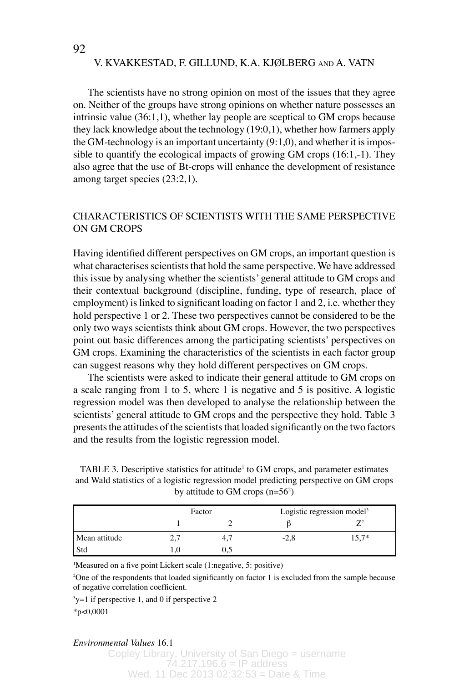The scientists have no strong opinion on most of the issues that they agree on. Neither of the groups have strong opinions on whether nature possesses an intrinsic value (36:1,1), whether lay people are sceptical to GM crops because they lack knowledge about the technology (19:0,1), whether how farmers apply the GM-technology is an important uncertainty (9:1,0), and whether it is impossible to quantify the ecological impacts of growing GM crops (16:1,-1). They also agree that the use of Bt-crops will enhance the development of resistance among target species (23:2,1).

# CHARACTERISTICS OF SCIENTISTS WITH THE SAME PERSPECTIVE ON GM CROPS

Having identified different perspectives on GM crops, an important question is what characterises scientists that hold the same perspective. We have addressed this issue by analysing whether the scientists' general attitude to GM crops and their contextual background (discipline, funding, type of research, place of employment) is linked to significant loading on factor 1 and 2, i.e. whether they hold perspective 1 or 2. These two perspectives cannot be considered to be the only two ways scientists think about GM crops. However, the two perspectives point out basic differences among the participating scientists' perspectives on GM crops. Examining the characteristics of the scientists in each factor group can suggest reasons why they hold different perspectives on GM crops.

The scientists were asked to indicate their general attitude to GM crops on a scale ranging from 1 to 5, where 1 is negative and 5 is positive. A logistic regression model was then developed to analyse the relationship between the scientists' general attitude to GM crops and the perspective they hold. Table 3 presents the attitudes of the scientists that loaded significantly on the two factors and the results from the logistic regression model.

TABLE 3. Descriptive statistics for attitude<sup>1</sup> to GM crops, and parameter estimates and Wald statistics of a logistic regression model predicting perspective on GM crops by attitude to GM crops  $(n=56^2)$ 

|               |                | Factor | Logistic regression model <sup>3</sup> |         |  |
|---------------|----------------|--------|----------------------------------------|---------|--|
|               |                |        |                                        |         |  |
| Mean attitude | $\overline{a}$ | 4.7    | $-2,8$                                 | $15.7*$ |  |
| Std           |                |        |                                        |         |  |

1 Measured on a five point Lickert scale (1:negative, 5: positive)

<sup>2</sup>One of the respondents that loaded significantly on factor 1 is excluded from the sample because of negative correlation coefficient.

3 y=1 if perspective 1, and 0 if perspective 2

\*p<0,0001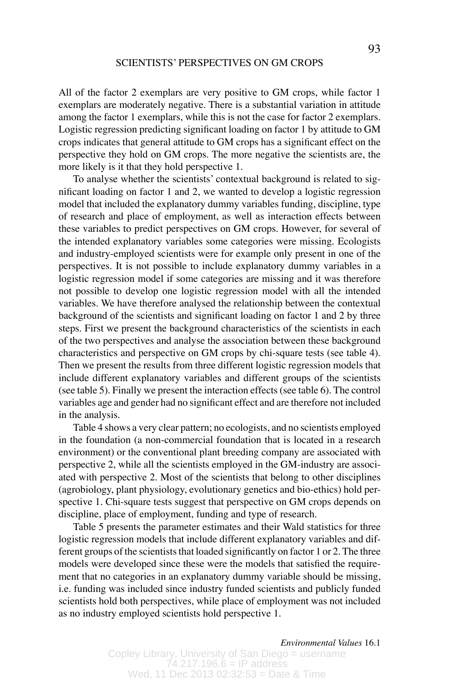All of the factor 2 exemplars are very positive to GM crops, while factor 1 exemplars are moderately negative. There is a substantial variation in attitude among the factor 1 exemplars, while this is not the case for factor 2 exemplars. Logistic regression predicting significant loading on factor 1 by attitude to GM crops indicates that general attitude to GM crops has a significant effect on the perspective they hold on GM crops. The more negative the scientists are, the more likely is it that they hold perspective 1.

To analyse whether the scientists' contextual background is related to significant loading on factor 1 and 2, we wanted to develop a logistic regression model that included the explanatory dummy variables funding, discipline, type of research and place of employment, as well as interaction effects between these variables to predict perspectives on GM crops. However, for several of the intended explanatory variables some categories were missing. Ecologists and industry-employed scientists were for example only present in one of the perspectives. It is not possible to include explanatory dummy variables in a logistic regression model if some categories are missing and it was therefore not possible to develop one logistic regression model with all the intended variables. We have therefore analysed the relationship between the contextual background of the scientists and significant loading on factor 1 and 2 by three steps. First we present the background characteristics of the scientists in each of the two perspectives and analyse the association between these background characteristics and perspective on GM crops by chi-square tests (see table 4). Then we present the results from three different logistic regression models that include different explanatory variables and different groups of the scientists (see table 5). Finally we present the interaction effects (see table 6). The control variables age and gender had no significant effect and are therefore not included in the analysis.

Table 4 shows a very clear pattern; no ecologists, and no scientists employed in the foundation (a non-commercial foundation that is located in a research environment) or the conventional plant breeding company are associated with perspective 2, while all the scientists employed in the GM-industry are associated with perspective 2. Most of the scientists that belong to other disciplines (agrobiology, plant physiology, evolutionary genetics and bio-ethics) hold perspective 1. Chi-square tests suggest that perspective on GM crops depends on discipline, place of employment, funding and type of research.

Table 5 presents the parameter estimates and their Wald statistics for three logistic regression models that include different explanatory variables and different groups of the scientists that loaded significantly on factor 1 or 2. The three models were developed since these were the models that satisfied the requirement that no categories in an explanatory dummy variable should be missing, i.e. funding was included since industry funded scientists and publicly funded scientists hold both perspectives, while place of employment was not included as no industry employed scientists hold perspective 1.

*Environmental Values* 16.1 *Environmental Values* 16.1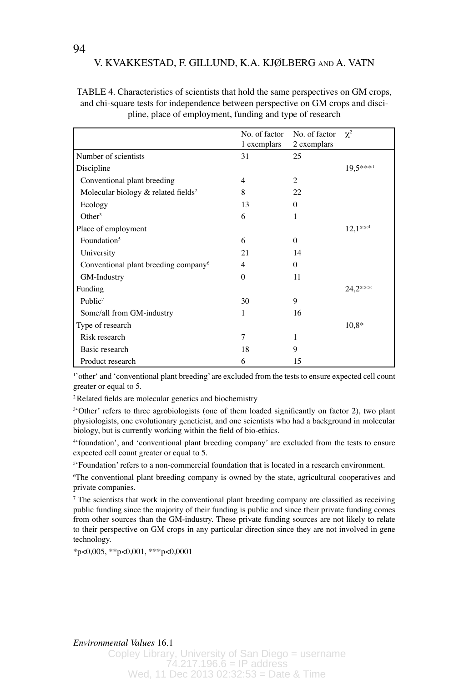TABLE 4. Characteristics of scientists that hold the same perspectives on GM crops, and chi-square tests for independence between perspective on GM crops and discipline, place of employment, funding and type of research

|                                                  | No. of factor<br>1 exemplars | No. of factor<br>2 exemplars | $\chi^2$  |
|--------------------------------------------------|------------------------------|------------------------------|-----------|
| Number of scientists                             | 31                           | 25                           |           |
| Discipline                                       |                              |                              | 19,5***1  |
| Conventional plant breeding                      | 4                            | 2                            |           |
| Molecular biology & related fields <sup>2</sup>  | 8                            | 22                           |           |
| Ecology                                          | 13                           | $\Omega$                     |           |
| Other <sup>3</sup>                               | 6                            | 1                            |           |
| Place of employment                              |                              |                              | $12.1***$ |
| Foundation <sup>5</sup>                          | 6                            | $\Omega$                     |           |
| University                                       | 21                           | 14                           |           |
| Conventional plant breeding company <sup>6</sup> | $\overline{4}$               | $\Omega$                     |           |
| GM-Industry                                      | $\Omega$                     | 11                           |           |
| Funding                                          |                              |                              | 24.2***   |
| Public <sup>7</sup>                              | 30                           | 9                            |           |
| Some/all from GM-industry                        | 1                            | 16                           |           |
| Type of research                                 |                              |                              | $10.8*$   |
| Risk research                                    | 7                            | 1                            |           |
| Basic research                                   | 18                           | 9                            |           |
| Product research                                 | 6                            | 15                           |           |

1 'otherʻ and ʻconventional plant breeding' are excluded from the tests to ensure expected cell count greater or equal to 5.

2 Related fields are molecular genetics and biochemistry

<sup>3</sup>Other' refers to three agrobiologists (one of them loaded significantly on factor 2), two plant physiologists, one evolutionary geneticist, and one scientists who had a background in molecular biology, but is currently working within the field of bio-ethics.

4 ʻfoundation', and ʻconventional plant breeding company' are excluded from the tests to ensure expected cell count greater or equal to 5.

5 ʻFoundation' refers to a non-commercial foundation that is located in a research environment.

6 The conventional plant breeding company is owned by the state, agricultural cooperatives and private companies.

7 The scientists that work in the conventional plant breeding company are classified as receiving public funding since the majority of their funding is public and since their private funding comes from other sources than the GM-industry. These private funding sources are not likely to relate to their perspective on GM crops in any particular direction since they are not involved in gene technology.

 $*_{p<0,005}$ ,  $*_{p<0,001}$ ,  $*_{p<0,0001}$ 

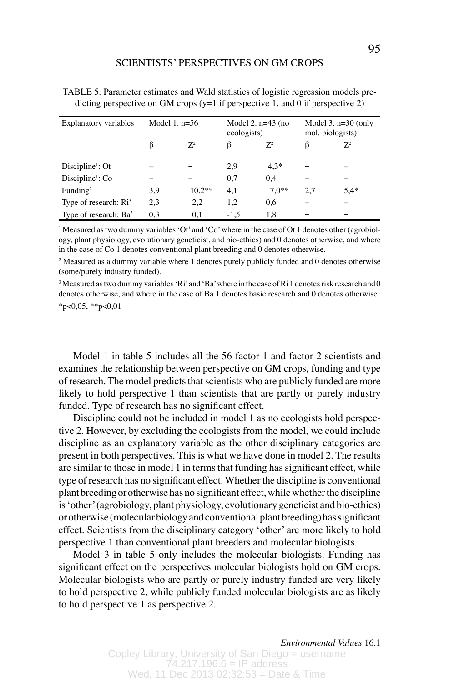| Explanatory variables        | Model 1. $n=56$ |          | Model 2. $n=43$ (no<br>ecologists) |         | Model $3. n=30$ (only<br>mol. biologists) |        |
|------------------------------|-----------------|----------|------------------------------------|---------|-------------------------------------------|--------|
|                              | ß               | $Z^2$    |                                    | $Z^2$   |                                           | $Z^2$  |
| Discipline <sup>1</sup> : Ot |                 |          | 2,9                                | $4.3*$  |                                           |        |
| Discipline <sup>1</sup> : Co |                 |          | 0.7                                | 0.4     |                                           |        |
| Funding <sup>2</sup>         | 3.9             | $10.2**$ | 4.1                                | $7.0**$ | 2.7                                       | $5.4*$ |
| Type of research: $Ri3$      | 2,3             | 2,2      | 1,2                                | 0.6     |                                           |        |
| Type of research: $Ba3$      | 0.3             | 0.1      | $-1.5$                             | 1.8     |                                           |        |

| TABLE 5. Parameter estimates and Wald statistics of logistic regression models pre- |  |
|-------------------------------------------------------------------------------------|--|
| dicting perspective on GM crops ( $y=1$ if perspective 1, and 0 if perspective 2)   |  |

1 Measured as two dummy variables ʻOt' and ʻCo' where in the case of Ot 1 denotes other (agrobiology, plant physiology, evolutionary geneticist, and bio-ethics) and 0 denotes otherwise, and where in the case of Co 1 denotes conventional plant breeding and 0 denotes otherwise.

<sup>2</sup> Measured as a dummy variable where 1 denotes purely publicly funded and 0 denotes otherwise (some/purely industry funded).

<sup>3</sup> Measured as two dummy variables 'Ri' and 'Ba' where in the case of Ri 1 denotes risk research and 0 denotes otherwise, and where in the case of Ba 1 denotes basic research and 0 denotes otherwise.  $*_{p<0,05}$ ,  $*_{p<0,01}$ 

Model 1 in table 5 includes all the 56 factor 1 and factor 2 scientists and examines the relationship between perspective on GM crops, funding and type of research. The model predicts that scientists who are publicly funded are more likely to hold perspective 1 than scientists that are partly or purely industry funded. Type of research has no significant effect.

Discipline could not be included in model 1 as no ecologists hold perspective 2. However, by excluding the ecologists from the model, we could include discipline as an explanatory variable as the other disciplinary categories are present in both perspectives. This is what we have done in model 2. The results are similar to those in model 1 in terms that funding has significant effect, while type of research has no significant effect. Whether the discipline is conventional plant breeding or otherwise has no significant effect, while whether the discipline is ʻother' (agrobiology, plant physiology, evolutionary geneticist and bio-ethics) or otherwise (molecular biology and conventional plant breeding) has significant effect. Scientists from the disciplinary category ʻother' are more likely to hold perspective 1 than conventional plant breeders and molecular biologists.

Model 3 in table 5 only includes the molecular biologists. Funding has significant effect on the perspectives molecular biologists hold on GM crops. Molecular biologists who are partly or purely industry funded are very likely to hold perspective 2, while publicly funded molecular biologists are as likely to hold perspective 1 as perspective 2.

*Environmental Values* 16.1 *Environmental Values* 16.1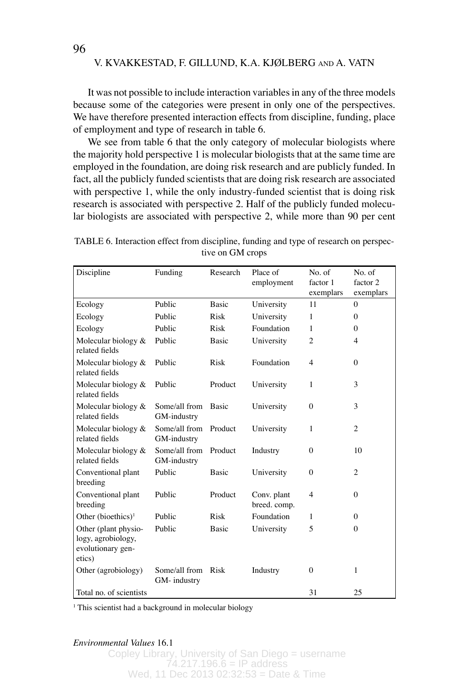It was not possible to include interaction variables in any of the three models because some of the categories were present in only one of the perspectives. We have therefore presented interaction effects from discipline, funding, place of employment and type of research in table 6.

We see from table 6 that the only category of molecular biologists where the majority hold perspective 1 is molecular biologists that at the same time are employed in the foundation, are doing risk research and are publicly funded. In fact, all the publicly funded scientists that are doing risk research are associated with perspective 1, while the only industry-funded scientist that is doing risk research is associated with perspective 2. Half of the publicly funded molecular biologists are associated with perspective 2, while more than 90 per cent

| Discipline                                                                | Funding                      | Research     | Place of<br>employment      | No. of<br>factor 1<br>exemplars | No. of<br>factor 2<br>exemplars |
|---------------------------------------------------------------------------|------------------------------|--------------|-----------------------------|---------------------------------|---------------------------------|
| Ecology                                                                   | Public                       | <b>Basic</b> | University                  | 11                              | $\Omega$                        |
| Ecology                                                                   | Public                       | <b>Risk</b>  | University                  | 1                               | 0                               |
| Ecology                                                                   | Public                       | Risk         | Foundation                  | 1                               | $\Omega$                        |
| Molecular biology &<br>related fields                                     | Public                       | <b>Basic</b> | University                  | $\overline{c}$                  | 4                               |
| Molecular biology &<br>related fields                                     | Public                       | <b>Risk</b>  | Foundation                  | $\overline{4}$                  | $\Omega$                        |
| Molecular biology &<br>related fields                                     | Public                       | Product      | University                  | 1                               | 3                               |
| Molecular biology &<br>related fields                                     | Some/all from<br>GM-industry | <b>Basic</b> | University                  | $\theta$                        | 3                               |
| Molecular biology &<br>related fields                                     | Some/all from<br>GM-industry | Product      | University                  | 1                               | $\overline{c}$                  |
| Molecular biology &<br>related fields                                     | Some/all from<br>GM-industry | Product      | Industry                    | $\theta$                        | 10                              |
| Conventional plant<br>breeding                                            | Public                       | <b>Basic</b> | University                  | $\theta$                        | 2                               |
| Conventional plant<br>breeding                                            | Public                       | Product      | Conv. plant<br>breed. comp. | 4                               | $\Omega$                        |
| Other (bioethics) <sup>1</sup>                                            | Public                       | <b>Risk</b>  | Foundation                  | 1                               | 0                               |
| Other (plant physio-<br>logy, agrobiology,<br>evolutionary gen-<br>etics) | Public                       | <b>Basic</b> | University                  | 5                               | $\Omega$                        |
| Other (agrobiology)                                                       | Some/all from<br>GM-industry | Risk         | Industry                    | $\Omega$                        | 1                               |
| Total no. of scientists                                                   |                              |              |                             | 31                              | 25                              |

TABLE 6. Interaction effect from discipline, funding and type of research on perspective on GM crops

<sup>1</sup> This scientist had a background in molecular biology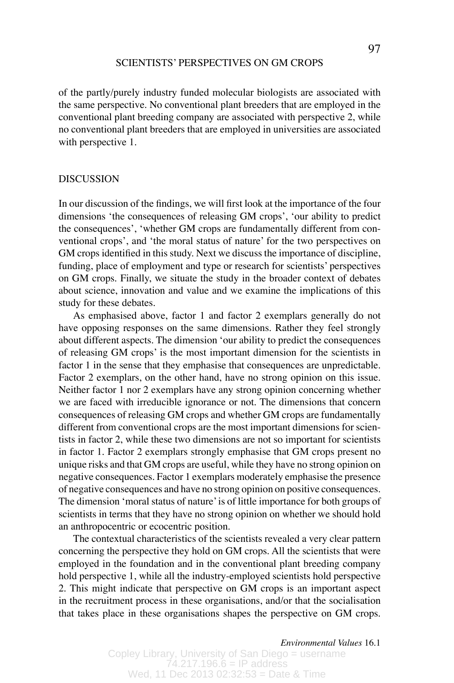of the partly/purely industry funded molecular biologists are associated with the same perspective. No conventional plant breeders that are employed in the conventional plant breeding company are associated with perspective 2, while no conventional plant breeders that are employed in universities are associated with perspective 1.

#### DISCUSSION

In our discussion of the findings, we will first look at the importance of the four dimensions ʻthe consequences of releasing GM crops', ʻour ability to predict the consequences', ʻwhether GM crops are fundamentally different from conventional crops', and ʻthe moral status of nature' for the two perspectives on GM crops identified in this study. Next we discuss the importance of discipline, funding, place of employment and type or research for scientists' perspectives on GM crops. Finally, we situate the study in the broader context of debates about science, innovation and value and we examine the implications of this study for these debates.

As emphasised above, factor 1 and factor 2 exemplars generally do not have opposing responses on the same dimensions. Rather they feel strongly about different aspects. The dimension ʻour ability to predict the consequences of releasing GM crops' is the most important dimension for the scientists in factor 1 in the sense that they emphasise that consequences are unpredictable. Factor 2 exemplars, on the other hand, have no strong opinion on this issue. Neither factor 1 nor 2 exemplars have any strong opinion concerning whether we are faced with irreducible ignorance or not. The dimensions that concern consequences of releasing GM crops and whether GM crops are fundamentally different from conventional crops are the most important dimensions for scientists in factor 2, while these two dimensions are not so important for scientists in factor 1. Factor 2 exemplars strongly emphasise that GM crops present no unique risks and that GM crops are useful, while they have no strong opinion on negative consequences. Factor 1 exemplars moderately emphasise the presence of negative consequences and have no strong opinion on positive consequences. The dimension ʻmoral status of nature' is of little importance for both groups of scientists in terms that they have no strong opinion on whether we should hold an anthropocentric or ecocentric position.

The contextual characteristics of the scientists revealed a very clear pattern concerning the perspective they hold on GM crops. All the scientists that were employed in the foundation and in the conventional plant breeding company hold perspective 1, while all the industry-employed scientists hold perspective 2. This might indicate that perspective on GM crops is an important aspect in the recruitment process in these organisations, and/or that the socialisation that takes place in these organisations shapes the perspective on GM crops.

*Environmental Values* 16.1 *Environmental Values* 16.1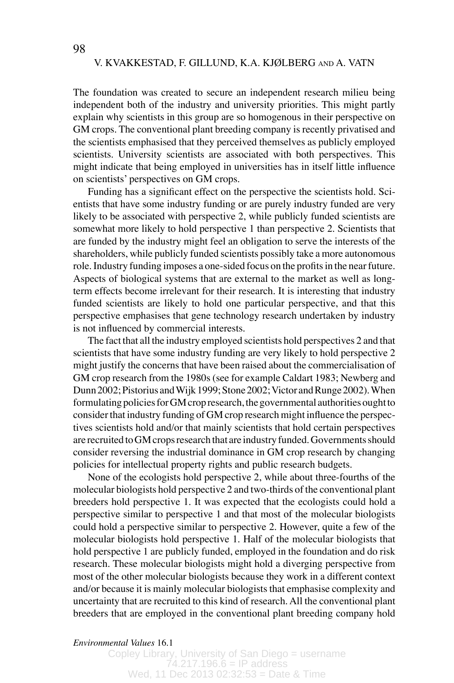The foundation was created to secure an independent research milieu being independent both of the industry and university priorities. This might partly explain why scientists in this group are so homogenous in their perspective on GM crops. The conventional plant breeding company is recently privatised and the scientists emphasised that they perceived themselves as publicly employed scientists. University scientists are associated with both perspectives. This might indicate that being employed in universities has in itself little influence on scientists' perspectives on GM crops.

Funding has a significant effect on the perspective the scientists hold. Scientists that have some industry funding or are purely industry funded are very likely to be associated with perspective 2, while publicly funded scientists are somewhat more likely to hold perspective 1 than perspective 2. Scientists that are funded by the industry might feel an obligation to serve the interests of the shareholders, while publicly funded scientists possibly take a more autonomous role. Industry funding imposes a one-sided focus on the profits in the near future. Aspects of biological systems that are external to the market as well as longterm effects become irrelevant for their research. It is interesting that industry funded scientists are likely to hold one particular perspective, and that this perspective emphasises that gene technology research undertaken by industry is not influenced by commercial interests.

The fact that all the industry employed scientists hold perspectives 2 and that scientists that have some industry funding are very likely to hold perspective 2 might justify the concerns that have been raised about the commercialisation of GM crop research from the 1980s (see for example Caldart 1983; Newberg and Dunn 2002; Pistorius and Wijk 1999; Stone 2002; Victor and Runge 2002). When formulating policies for GM crop research, the governmental authorities ought to consider that industry funding of GM crop research might influence the perspectives scientists hold and/or that mainly scientists that hold certain perspectives are recruited to GM crops research that are industry funded. Governments should consider reversing the industrial dominance in GM crop research by changing policies for intellectual property rights and public research budgets.

None of the ecologists hold perspective 2, while about three-fourths of the molecular biologists hold perspective 2 and two-thirds of the conventional plant breeders hold perspective 1. It was expected that the ecologists could hold a perspective similar to perspective 1 and that most of the molecular biologists could hold a perspective similar to perspective 2. However, quite a few of the molecular biologists hold perspective 1. Half of the molecular biologists that hold perspective 1 are publicly funded, employed in the foundation and do risk research. These molecular biologists might hold a diverging perspective from most of the other molecular biologists because they work in a different context and/or because it is mainly molecular biologists that emphasise complexity and uncertainty that are recruited to this kind of research. All the conventional plant breeders that are employed in the conventional plant breeding company hold

### *Environmental Values* 16.1 *Environmental Values* 16.1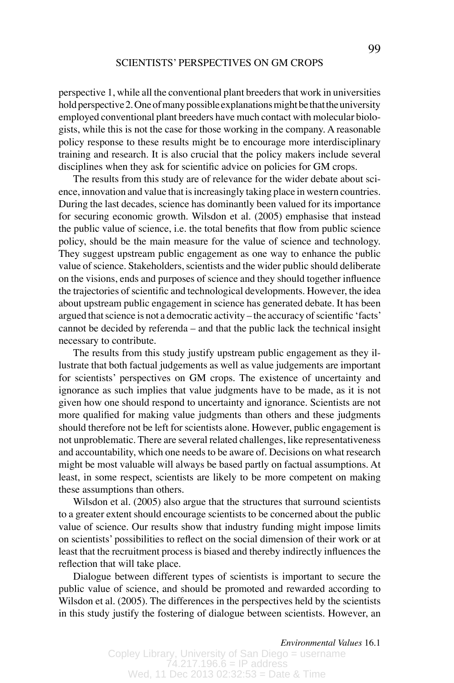perspective 1, while all the conventional plant breeders that work in universities hold perspective 2. One of many possible explanations might be that the university employed conventional plant breeders have much contact with molecular biologists, while this is not the case for those working in the company. A reasonable policy response to these results might be to encourage more interdisciplinary training and research. It is also crucial that the policy makers include several disciplines when they ask for scientific advice on policies for GM crops.

The results from this study are of relevance for the wider debate about science, innovation and value that is increasingly taking place in western countries. During the last decades, science has dominantly been valued for its importance for securing economic growth. Wilsdon et al. (2005) emphasise that instead the public value of science, i.e. the total benefits that flow from public science policy, should be the main measure for the value of science and technology. They suggest upstream public engagement as one way to enhance the public value of science. Stakeholders, scientists and the wider public should deliberate on the visions, ends and purposes of science and they should together influence the trajectories of scientific and technological developments. However, the idea about upstream public engagement in science has generated debate. It has been argued that science is not a democratic activity – the accuracy of scientific ʻfacts' cannot be decided by referenda – and that the public lack the technical insight necessary to contribute.

The results from this study justify upstream public engagement as they illustrate that both factual judgements as well as value judgements are important for scientists' perspectives on GM crops. The existence of uncertainty and ignorance as such implies that value judgments have to be made, as it is not given how one should respond to uncertainty and ignorance. Scientists are not more qualified for making value judgments than others and these judgments should therefore not be left for scientists alone. However, public engagement is not unproblematic. There are several related challenges, like representativeness and accountability, which one needs to be aware of. Decisions on what research might be most valuable will always be based partly on factual assumptions. At least, in some respect, scientists are likely to be more competent on making these assumptions than others.

Wilsdon et al. (2005) also argue that the structures that surround scientists to a greater extent should encourage scientists to be concerned about the public value of science. Our results show that industry funding might impose limits on scientists' possibilities to reflect on the social dimension of their work or at least that the recruitment process is biased and thereby indirectly influences the reflection that will take place.

Dialogue between different types of scientists is important to secure the public value of science, and should be promoted and rewarded according to Wilsdon et al. (2005). The differences in the perspectives held by the scientists in this study justify the fostering of dialogue between scientists. However, an

*Environmental Values* 16.1 *Environmental Values* 16.1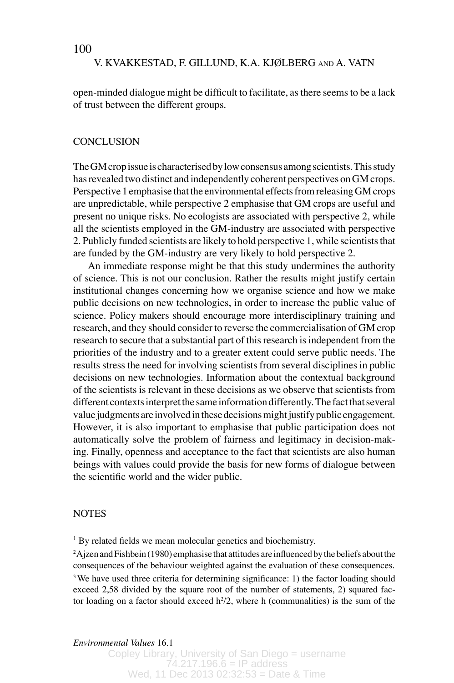100

### V. KVAKKESTAD, F. GILLUND, K.A. KJØLBERG AND A. VATN

open-minded dialogue might be difficult to facilitate, as there seems to be a lack of trust between the different groups.

# **CONCLUSION**

The GM crop issue is characterised by low consensus among scientists. This study has revealed two distinct and independently coherent perspectives on GM crops. Perspective 1 emphasise that the environmental effects from releasing GM crops are unpredictable, while perspective 2 emphasise that GM crops are useful and present no unique risks. No ecologists are associated with perspective 2, while all the scientists employed in the GM-industry are associated with perspective 2. Publicly funded scientists are likely to hold perspective 1, while scientists that are funded by the GM-industry are very likely to hold perspective 2.

An immediate response might be that this study undermines the authority of science. This is not our conclusion. Rather the results might justify certain institutional changes concerning how we organise science and how we make public decisions on new technologies, in order to increase the public value of science. Policy makers should encourage more interdisciplinary training and research, and they should consider to reverse the commercialisation of GM crop research to secure that a substantial part of this research is independent from the priorities of the industry and to a greater extent could serve public needs. The results stress the need for involving scientists from several disciplines in public decisions on new technologies. Information about the contextual background of the scientists is relevant in these decisions as we observe that scientists from different contexts interpret the same information differently. The fact that several value judgments are involved in these decisions might justify public engagement. However, it is also important to emphasise that public participation does not automatically solve the problem of fairness and legitimacy in decision-making. Finally, openness and acceptance to the fact that scientists are also human beings with values could provide the basis for new forms of dialogue between the scientific world and the wider public.

# **NOTES**

<sup>1</sup> By related fields we mean molecular genetics and biochemistry.

<sup>2</sup>Ajzen and Fishbein (1980) emphasise that attitudes are influenced by the beliefs about the consequences of the behaviour weighted against the evaluation of these consequences. <sup>3</sup> We have used three criteria for determining significance: 1) the factor loading should exceed 2,58 divided by the square root of the number of statements, 2) squared factor loading on a factor should exceed  $h^2/2$ , where h (communalities) is the sum of the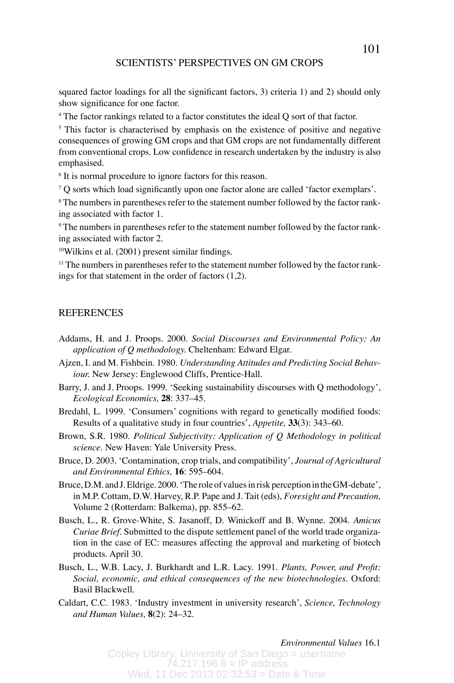squared factor loadings for all the significant factors, 3) criteria 1) and 2) should only show significance for one factor.

4 The factor rankings related to a factor constitutes the ideal Q sort of that factor.

<sup>5</sup> This factor is characterised by emphasis on the existence of positive and negative consequences of growing GM crops and that GM crops are not fundamentally different from conventional crops. Low confidence in research undertaken by the industry is also emphasised.

<sup>6</sup> It is normal procedure to ignore factors for this reason.

 $7Q$  sorts which load significantly upon one factor alone are called 'factor exemplars'.

8 The numbers in parentheses refer to the statement number followed by the factor ranking associated with factor 1.

9 The numbers in parentheses refer to the statement number followed by the factor ranking associated with factor 2.

10Wilkins et al. (2001) present similar findings.

 $11$  The numbers in parentheses refer to the statement number followed by the factor rankings for that statement in the order of factors (1,2).

# REFERENCES

- Addams, H. and J. Proops. 2000. *Social Discourses and Environmental Policy: An application of Q methodology.* Cheltenham: Edward Elgar.
- Ajzen, I. and M. Fishbein. 1980. *Understanding Attitudes and Predicting Social Behaviour.* New Jersey: Englewood Cliffs, Prentice-Hall.
- Barry, J. and J. Proops. 1999. ʻSeeking sustainability discourses with Q methodology', *Ecological Economics,* **28**: 337–45.
- Bredahl, L. 1999. ʻConsumers' cognitions with regard to genetically modified foods: Results of a qualitative study in four countries', *Appetite,* **33**(3): 343–60.
- Brown, S.R. 1980. *Political Subjectivity: Application of Q Methodology in political science.* New Haven: Yale University Press.
- Bruce, D. 2003. ʻContamination, crop trials, and compatibility', *Journal of Agricultural and Environmental Ethics,* **16**: 595–604.
- Bruce, D.M. and J. Eldrige. 2000. ʻThe role of values in risk perception in the GM-debate', in M.P. Cottam, D.W. Harvey, R.P. Pape and J. Tait (eds), *Foresight and Precaution,*  Volume 2 (Rotterdam: Balkema), pp. 855–62.
- Busch, L., R. Grove-White, S. Jasanoff, D. Winickoff and B. Wynne. 2004. *Amicus Curiae Brief.* Submitted to the dispute settlement panel of the world trade organization in the case of EC: measures affecting the approval and marketing of biotech products. April 30.
- Busch, L., W.B. Lacy, J. Burkhardt and L.R. Lacy. 1991. *Plants, Power, and Profit: Social, economic, and ethical consequences of the new biotechnologies.* Oxford: Basil Blackwell.
- Caldart, C.C. 1983. ʻIndustry investment in university research', *Science, Technology and Human Values,* **8**(2): 24–32.

*Environmental Values* 16.1 *Environmental Values* 16.1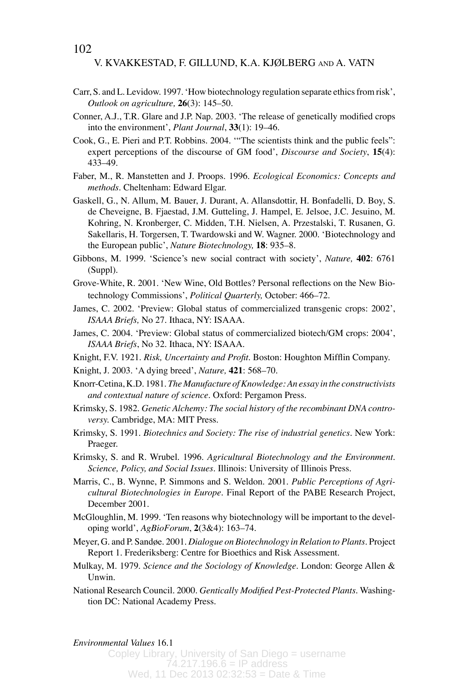- Carr, S. and L. Levidow. 1997. ʻHow biotechnology regulation separate ethics from risk', *Outlook on agriculture,* **26**(3): 145–50.
- Conner, A.J., T.R. Glare and J.P. Nap. 2003. ʻThe release of genetically modified crops into the environment', *Plant Journal*, **33**(1): 19–46.
- Cook, G., E. Pieri and P.T. Robbins. 2004. ʻ"The scientists think and the public feels": expert perceptions of the discourse of GM food', *Discourse and Society*, **15**(4): 433–49.
- Faber, M., R. Manstetten and J. Proops. 1996. *Ecological Economics: Concepts and methods.* Cheltenham: Edward Elgar.
- Gaskell, G., N. Allum, M. Bauer, J. Durant, A. Allansdottir, H. Bonfadelli, D. Boy, S. de Cheveigne, B. Fjaestad, J.M. Gutteling, J. Hampel, E. Jelsoe, J.C. Jesuino, M. Kohring, N. Kronberger, C. Midden, T.H. Nielsen, A. Przestalski, T. Rusanen, G. Sakellaris, H. Torgersen, T. Twardowski and W. Wagner. 2000. ʻBiotechnology and the European public', *Nature Biotechnology,* **18**: 935–8.
- Gibbons, M. 1999. ʻScience's new social contract with society', *Nature,* **402**: 6761 (Suppl).
- Grove-White, R. 2001. ʻNew Wine, Old Bottles? Personal reflections on the New Biotechnology Commissions', *Political Quarterly,* October: 466–72.
- James, C. 2002. ʻPreview: Global status of commercialized transgenic crops: 2002', *ISAAA Briefs,* No 27. Ithaca, NY: ISAAA.
- James, C. 2004. ʻPreview: Global status of commercialized biotech/GM crops: 2004', *ISAAA Briefs*, No 32. Ithaca, NY: ISAAA.
- Knight, F.V. 1921. *Risk, Uncertainty and Profit.* Boston: Houghton Mifflin Company.
- Knight, J. 2003. ʻA dying breed', *Nature,* **421**: 568–70.
- Knorr-Cetina, K.D. 1981. *The Manufacture of Knowledge: An essay in the constructivists and contextual nature of science*. Oxford: Pergamon Press.
- Krimsky, S. 1982. *Genetic Alchemy: The social history of the recombinant DNA controversy.* Cambridge, MA: MIT Press.
- Krimsky, S. 1991. *Biotechnics and Society: The rise of industrial genetics.* New York: Praeger.
- Krimsky, S. and R. Wrubel. 1996. *Agricultural Biotechnology and the Environment. Science, Policy, and Social Issues.* Illinois: University of Illinois Press.
- Marris, C., B. Wynne, P. Simmons and S. Weldon. 2001. *Public Perceptions of Agricultural Biotechnologies in Europe.* Final Report of the PABE Research Project, December 2001.
- McGloughlin, M. 1999. ʻTen reasons why biotechnology will be important to the developing world', *AgBioForum*, **2**(3&4): 163–74.
- Meyer, G. and P. Sandøe. 2001. *Dialogue on Biotechnology in Relation to Plants*. Project Report 1. Frederiksberg: Centre for Bioethics and Risk Assessment.
- Mulkay, M. 1979. *Science and the Sociology of Knowledge.* London: George Allen & Unwin.
- National Research Council. 2000. *Gentically Modified Pest-Protected Plants.* Washingtion DC: National Academy Press.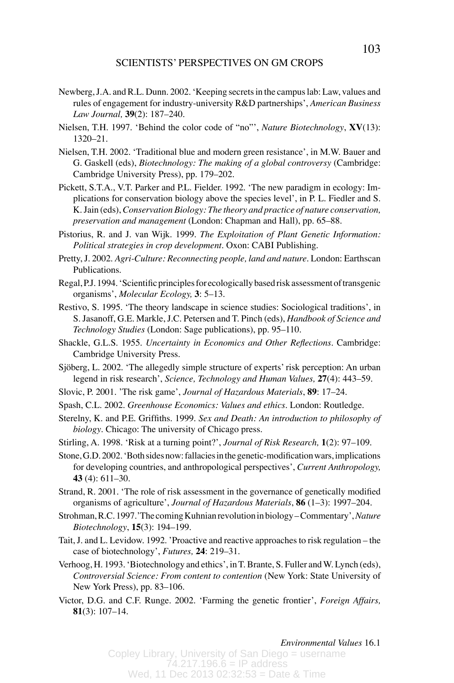- Newberg, J.A. and R.L. Dunn. 2002. ʻKeeping secrets in the campus lab: Law, values and rules of engagement for industry-university R&D partnerships', *American Business Law Journal,* **39**(2): 187–240.
- Nielsen, T.H. 1997. ʻBehind the color code of "no"', *Nature Biotechnology*, **XV**(13): 1320–21.
- Nielsen, T.H. 2002. ʻTraditional blue and modern green resistance', in M.W. Bauer and G. Gaskell (eds), *Biotechnology: The making of a global controversy* (Cambridge: Cambridge University Press), pp. 179–202.
- Pickett, S.T.A., V.T. Parker and P.L. Fielder. 1992. ʻThe new paradigm in ecology: Implications for conservation biology above the species level', in P. L. Fiedler and S. K. Jain (eds), *Conservation Biology: The theory and practice of nature conservation, preservation and management* (London: Chapman and Hall), pp. 65–88.
- Pistorius, R. and J. van Wijk. 1999. *The Exploitation of Plant Genetic Information: Political strategies in crop development.* Oxon: CABI Publishing.
- Pretty, J. 2002. *Agri-Culture: Reconnecting people, land and nature.* London: Earthscan Publications.
- Regal, P.J. 1994. ʻScientific principles for ecologically based risk assessment of transgenic organisms', *Molecular Ecology,* **3**: 5–13.
- Restivo, S. 1995. ʻThe theory landscape in science studies: Sociological traditions', in S. Jasanoff, G.E. Markle, J.C. Petersen and T. Pinch (eds), *Handbook of Science and Technology Studies* (London: Sage publications), pp. 95–110.
- Shackle, G.L.S. 1955. *Uncertainty in Economics and Other Reflections.* Cambridge: Cambridge University Press.
- Sjöberg, L. 2002. ʻThe allegedly simple structure of experts' risk perception: An urban legend in risk research', *Science, Technology and Human Values,* **27**(4): 443–59.
- Slovic, P. 2001. 'The risk game', *Journal of Hazardous Materials*, **89**: 17–24.
- Spash, C.L. 2002. *Greenhouse Economics: Values and ethics.* London: Routledge.
- Sterelny, K. and P.E. Griffiths. 1999. *Sex and Death: An introduction to philosophy of biology*. Chicago: The university of Chicago press.
- Stirling, A. 1998. ʻRisk at a turning point?', *Journal of Risk Research,* **1**(2): 97–109.
- Stone, G.D. 2002. ʻBoth sides now: fallacies in the genetic-modification wars, implications for developing countries, and anthropological perspectives', *Current Anthropology,*  **43** (4): 611–30.
- Strand, R. 2001. ʻThe role of risk assessment in the governance of genetically modified organisms of agriculture', *Journal of Hazardous Materials*, **86** (1–3): 1997–204.
- Strohman, R.C. 1997.'The coming Kuhnian revolution in biology Commentary', *Nature Biotechnology*, **15**(3): 194–199.
- Tait, J. and L. Levidow. 1992. 'Proactive and reactive approaches to risk regulation the case of biotechnology', *Futures,* **24**: 219–31.
- Verhoog, H. 1993. ʻBiotechnology and ethics', in T. Brante, S. Fuller and W. Lynch (eds), *Controversial Science: From content to contention* (New York: State University of New York Press), pp. 83–106.
- Victor, D.G. and C.F. Runge. 2002. ʻFarming the genetic frontier', *Foreign Affairs,*  **81**(3): 107–14.